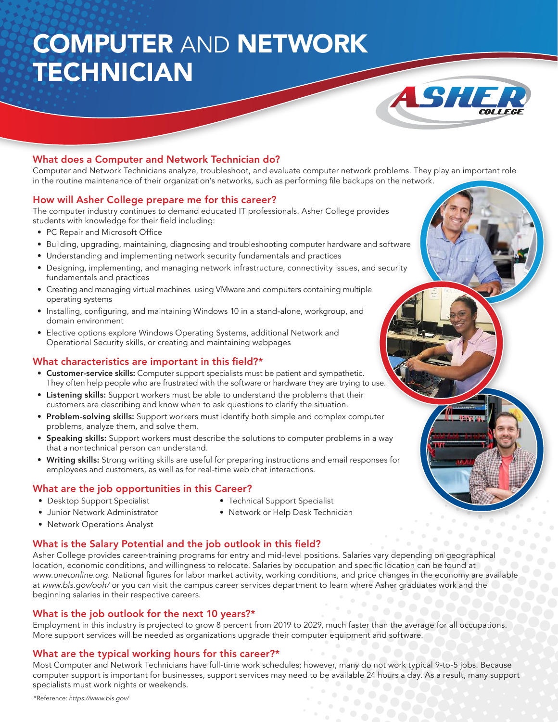# COMPUTER AND NETWORK **TECHNICIAN**



### What does a Computer and Network Technician do?

Computer and Network Technicians analyze, troubleshoot, and evaluate computer network problems. They play an important role in the routine maintenance of their organization's networks, such as performing file backups on the network.

#### How will Asher College prepare me for this career?

The computer industry continues to demand educated IT professionals. Asher College provides students with knowledge for their field including:

- PC Repair and Microsoft Office
- Building, upgrading, maintaining, diagnosing and troubleshooting computer hardware and software
- Understanding and implementing network security fundamentals and practices
- Designing, implementing, and managing network infrastructure, connectivity issues, and security fundamentals and practices
- Creating and managing virtual machines using VMware and computers containing multiple operating systems
- Installing, configuring, and maintaining Windows 10 in a stand-alone, workgroup, and domain environment
- Elective options explore Windows Operating Systems, additional Network and Operational Security skills, or creating and maintaining webpages

#### What characteristics are important in this field?\*

- Customer-service skills: Computer support specialists must be patient and sympathetic. They often help people who are frustrated with the software or hardware they are trying to use.
- Listening skills: Support workers must be able to understand the problems that their customers are describing and know when to ask questions to clarify the situation.
- Problem-solving skills: Support workers must identify both simple and complex computer problems, analyze them, and solve them.
- Speaking skills: Support workers must describe the solutions to computer problems in a way that a nontechnical person can understand.
- Writing skills: Strong writing skills are useful for preparing instructions and email responses for employees and customers, as well as for real-time web chat interactions.

### What are the job opportunities in this Career?

- Desktop Support Specialist
- Technical Support Specialist
- Junior Network Administrator
- Network or Help Desk Technician
- Network Operations Analyst
	-

# What is the Salary Potential and the job outlook in this field?

Asher College provides career-training programs for entry and mid-level positions. Salaries vary depending on geographical location, economic conditions, and willingness to relocate. Salaries by occupation and specific location can be found at www.onetonline.org. National figures for labor market activity, working conditions, and price changes in the economy are available at www.bls.gov/ooh/ or you can visit the campus career services department to learn where Asher graduates work and the beginning salaries in their respective careers.

#### What is the job outlook for the next 10 years?\*

Employment in this industry is projected to grow 8 percent from 2019 to 2029, much faster than the average for all occupations. More support services will be needed as organizations upgrade their computer equipment and software.

### What are the typical working hours for this career?\*

Most Computer and Network Technicians have full-time work schedules; however, many do not work typical 9-to-5 jobs. Because computer support is important for businesses, support services may need to be available 24 hours a day. As a result, many support specialists must work nights or weekends.